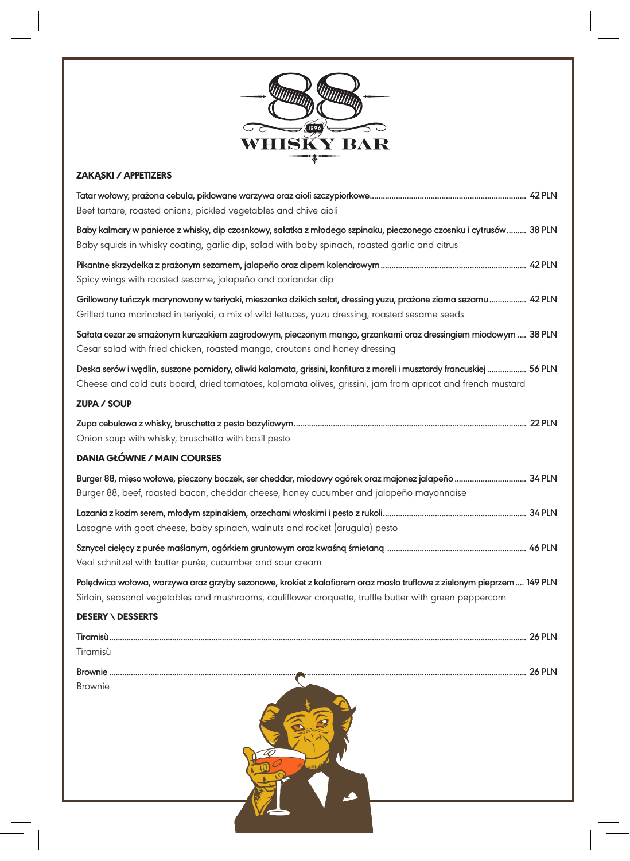

## ZAKĄSKI / APPETIZERS

| Tatar wołowy, prażona cebula, piklowane warzywa oraz aioli szczypiorkowe………………………………………………………………………… 42 PLN<br>Beef tartare, roasted onions, pickled vegetables and chive aioli                                                     |
|-------------------------------------------------------------------------------------------------------------------------------------------------------------------------------------------------------------------------------------|
| Baby kalmary w panierce z whisky, dip czosnkowy, sałatka z młodego szpinaku, pieczonego czosnku i cytrusów  38 PLN<br>Baby squids in whisky coating, garlic dip, salad with baby spinach, roasted garlic and citrus                 |
| Spicy wings with roasted sesame, jalapeño and coriander dip                                                                                                                                                                         |
| Grillowany tuńczyk marynowany w teriyaki, mieszanka dzikich sałat, dressing yuzu, prażone ziarna sezamu  42 PLN<br>Grilled tuna marinated in teriyaki, a mix of wild lettuces, yuzu dressing, roasted sesame seeds                  |
| Sałata cezar ze smażonym kurczakiem zagrodowym, pieczonym mango, grzankami oraz dressingiem miodowym  38 PLN<br>Cesar salad with fried chicken, roasted mango, croutons and honey dressing                                          |
| Deska serów i wędlin, suszone pomidory, oliwki kalamata, grissini, konfitura z moreli i musztardy francuskiej  56 PLN<br>Cheese and cold cuts board, dried tomatoes, kalamata olives, grissini, jam from apricot and french mustard |
| <b>ZUPA / SOUP</b>                                                                                                                                                                                                                  |
| Onion soup with whisky, bruschetta with basil pesto                                                                                                                                                                                 |
| <b>DANIA GŁÓWNE / MAIN COURSES</b>                                                                                                                                                                                                  |
| Burger 88, mięso wołowe, pieczony boczek, ser cheddar, miodowy ogórek oraz majonez jalapeño  34 PLN<br>Burger 88, beef, roasted bacon, cheddar cheese, honey cucumber and jalapeño mayonnaise                                       |
| Lasagne with goat cheese, baby spinach, walnuts and rocket (arugula) pesto                                                                                                                                                          |
| Veal schnitzel with butter purée, cucumber and sour cream                                                                                                                                                                           |
| Polędwica wołowa, warzywa oraz grzyby sezonowe, krokiet z kalafiorem oraz masło truflowe z zielonym pieprzem 149 PLN<br>Sirloin, seasonal vegetables and mushrooms, cauliflower croquette, truffle butter with green peppercorn     |
| <b>DESERY \ DESSERTS</b>                                                                                                                                                                                                            |
| Tiramisù                                                                                                                                                                                                                            |
| <b>Brownie</b>                                                                                                                                                                                                                      |
|                                                                                                                                                                                                                                     |